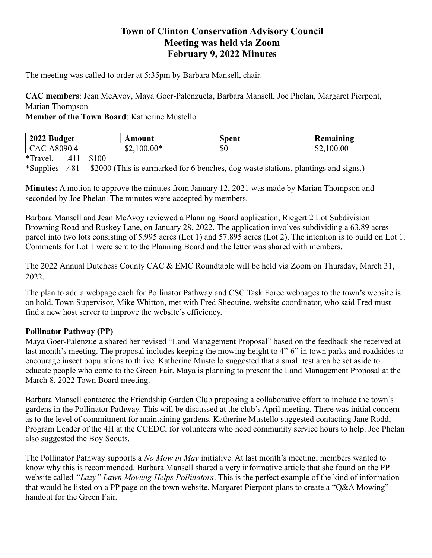# Town of Clinton Conservation Advisory Council Meeting was held via Zoom February 9, 2022 Minutes

The meeting was called to order at 5:35pm by Barbara Mansell, chair.

CAC members: Jean McAvoy, Maya Goer-Palenzuela, Barbara Mansell, Joe Phelan, Margaret Pierpont, Marian Thompson

Member of the Town Board: Katherine Mustello

| 2022 Budget                      | Amount                | Spent | Remaining  |
|----------------------------------|-----------------------|-------|------------|
| $^{9090.4}$<br>$\Lambda$<br>A80. | $\triangle 2,100.00*$ | \$0   | \$2,100.00 |

\*Travel. .411 \$100

\*Supplies .481 \$2000 (This is earmarked for 6 benches, dog waste stations, plantings and signs.)

Minutes: A motion to approve the minutes from January 12, 2021 was made by Marian Thompson and seconded by Joe Phelan. The minutes were accepted by members.

Barbara Mansell and Jean McAvoy reviewed a Planning Board application, Riegert 2 Lot Subdivision – Browning Road and Ruskey Lane, on January 28, 2022. The application involves subdividing a 63.89 acres parcel into two lots consisting of 5.995 acres (Lot 1) and 57.895 acres (Lot 2). The intention is to build on Lot 1. Comments for Lot 1 were sent to the Planning Board and the letter was shared with members.

The 2022 Annual Dutchess County CAC & EMC Roundtable will be held via Zoom on Thursday, March 31, 2022.

The plan to add a webpage each for Pollinator Pathway and CSC Task Force webpages to the town's website is on hold. Town Supervisor, Mike Whitton, met with Fred Shequine, website coordinator, who said Fred must find a new host server to improve the website's efficiency.

#### Pollinator Pathway (PP)

Maya Goer-Palenzuela shared her revised "Land Management Proposal" based on the feedback she received at last month's meeting. The proposal includes keeping the mowing height to 4"-6" in town parks and roadsides to encourage insect populations to thrive. Katherine Mustello suggested that a small test area be set aside to educate people who come to the Green Fair. Maya is planning to present the Land Management Proposal at the March 8, 2022 Town Board meeting.

Barbara Mansell contacted the Friendship Garden Club proposing a collaborative effort to include the town's gardens in the Pollinator Pathway. This will be discussed at the club's April meeting. There was initial concern as to the level of commitment for maintaining gardens. Katherine Mustello suggested contacting Jane Rodd, Program Leader of the 4H at the CCEDC, for volunteers who need community service hours to help. Joe Phelan also suggested the Boy Scouts.

The Pollinator Pathway supports a *No Mow in May* initiative. At last month's meeting, members wanted to know why this is recommended. Barbara Mansell shared a very informative article that she found on the PP website called "Lazy" Lawn Mowing Helps Pollinators. This is the perfect example of the kind of information that would be listed on a PP page on the town website. Margaret Pierpont plans to create a "Q&A Mowing" handout for the Green Fair.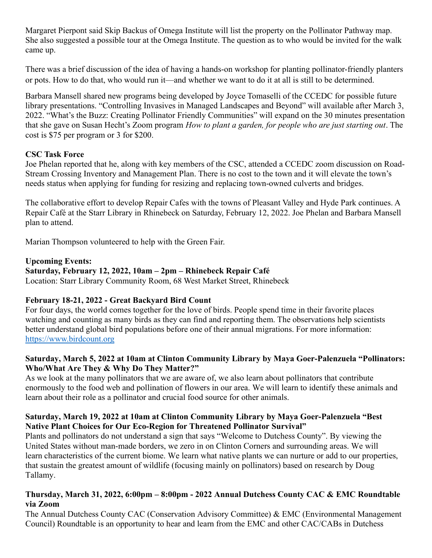Margaret Pierpont said Skip Backus of Omega Institute will list the property on the Pollinator Pathway map. She also suggested a possible tour at the Omega Institute. The question as to who would be invited for the walk came up.

There was a brief discussion of the idea of having a hands-on workshop for planting pollinator-friendly planters or pots. How to do that, who would run it—and whether we want to do it at all is still to be determined.

Barbara Mansell shared new programs being developed by Joyce Tomaselli of the CCEDC for possible future library presentations. "Controlling Invasives in Managed Landscapes and Beyond" will available after March 3, 2022. "What's the Buzz: Creating Pollinator Friendly Communities" will expand on the 30 minutes presentation that she gave on Susan Hecht's Zoom program How to plant a garden, for people who are just starting out. The cost is \$75 per program or 3 for \$200.

# CSC Task Force

Joe Phelan reported that he, along with key members of the CSC, attended a CCEDC zoom discussion on Road-Stream Crossing Inventory and Management Plan. There is no cost to the town and it will elevate the town's needs status when applying for funding for resizing and replacing town-owned culverts and bridges.

The collaborative effort to develop Repair Cafes with the towns of Pleasant Valley and Hyde Park continues. A Repair Café at the Starr Library in Rhinebeck on Saturday, February 12, 2022. Joe Phelan and Barbara Mansell plan to attend.

Marian Thompson volunteered to help with the Green Fair.

# Upcoming Events:

# Saturday, February 12, 2022, 10am – 2pm – Rhinebeck Repair Café

Location: Starr Library Community Room, 68 West Market Street, Rhinebeck

# February 18-21, 2022 - Great Backyard Bird Count

For four days, the world comes together for the love of birds. People spend time in their favorite places watching and counting as many birds as they can find and reporting them. The observations help scientists better understand global bird populations before one of their annual migrations. For more information: https://www.birdcount.org

#### Saturday, March 5, 2022 at 10am at Clinton Community Library by Maya Goer-Palenzuela "Pollinators: Who/What Are They & Why Do They Matter?"

As we look at the many pollinators that we are aware of, we also learn about pollinators that contribute enormously to the food web and pollination of flowers in our area. We will learn to identify these animals and learn about their role as a pollinator and crucial food source for other animals.

# Saturday, March 19, 2022 at 10am at Clinton Community Library by Maya Goer-Palenzuela "Best Native Plant Choices for Our Eco-Region for Threatened Pollinator Survival"

Plants and pollinators do not understand a sign that says "Welcome to Dutchess County". By viewing the United States without man-made borders, we zero in on Clinton Corners and surrounding areas. We will learn characteristics of the current biome. We learn what native plants we can nurture or add to our properties, that sustain the greatest amount of wildlife (focusing mainly on pollinators) based on research by Doug Tallamy.

# Thursday, March 31, 2022, 6:00pm – 8:00pm - 2022 Annual Dutchess County CAC & EMC Roundtable via Zoom

The Annual Dutchess County CAC (Conservation Advisory Committee) & EMC (Environmental Management Council) Roundtable is an opportunity to hear and learn from the EMC and other CAC/CABs in Dutchess